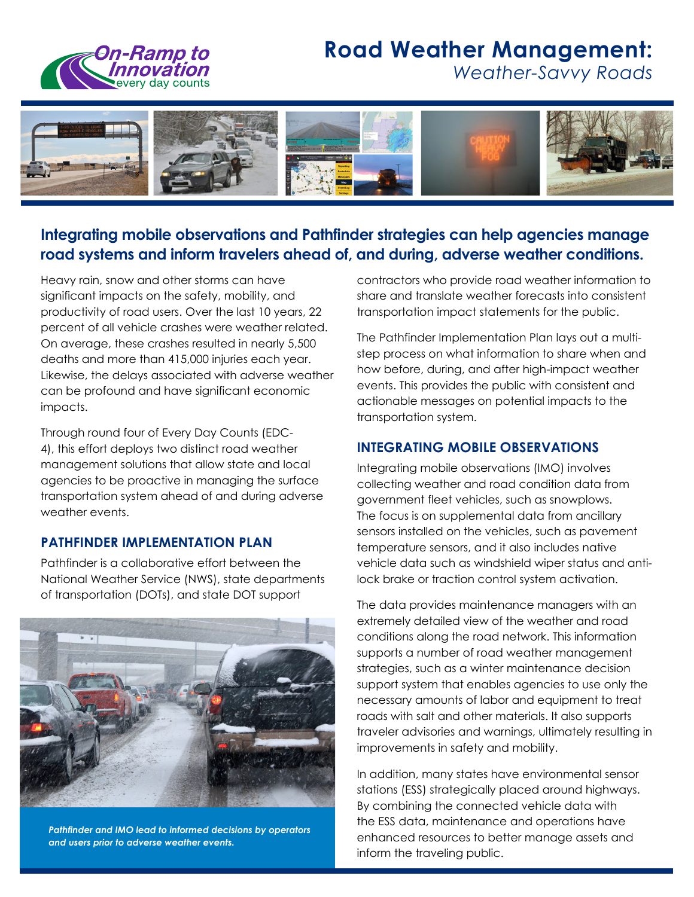

# **Road Weather Management:**

*Weather-Savvy Roads* 



## **Integrating mobile observations and Pathfinder strategies can help agencies manage road systems and inform travelers ahead of, and during, adverse weather conditions.**

Heavy rain, snow and other storms can have significant impacts on the safety, mobility, and productivity of road users. Over the last 10 years, 22 percent of all vehicle crashes were weather related. On average, these crashes resulted in nearly 5,500 deaths and more than 415,000 injuries each year. Likewise, the delays associated with adverse weather can be profound and have significant economic impacts.

Through round four of Every Day Counts (EDC-4), this effort deploys two distinct road weather management solutions that allow state and local agencies to be proactive in managing the surface transportation system ahead of and during adverse weather events.

## **PATHFINDER IMPLEMENTATION PLAN**

Pathfinder is a collaborative effort between the National Weather Service (NWS), state departments of transportation (DOTs), and state DOT support



*Pathfinder and IMO lead to informed decisions by operators and users prior to adverse weather events.* 

contractors who provide road weather information to share and translate weather forecasts into consistent transportation impact statements for the public.

The Pathfinder Implementation Plan lays out a multistep process on what information to share when and how before, during, and after high-impact weather events. This provides the public with consistent and actionable messages on potential impacts to the transportation system.

## **INTEGRATING MOBILE OBSERVATIONS**

Integrating mobile observations (IMO) involves collecting weather and road condition data from government fleet vehicles, such as snowplows. The focus is on supplemental data from ancillary sensors installed on the vehicles, such as pavement temperature sensors, and it also includes native vehicle data such as windshield wiper status and antilock brake or traction control system activation.

The data provides maintenance managers with an extremely detailed view of the weather and road conditions along the road network. This information supports a number of road weather management strategies, such as a winter maintenance decision support system that enables agencies to use only the necessary amounts of labor and equipment to treat roads with salt and other materials. It also supports traveler advisories and warnings, ultimately resulting in improvements in safety and mobility.

In addition, many states have environmental sensor stations (ESS) strategically placed around highways. By combining the connected vehicle data with the ESS data, maintenance and operations have enhanced resources to better manage assets and inform the traveling public.